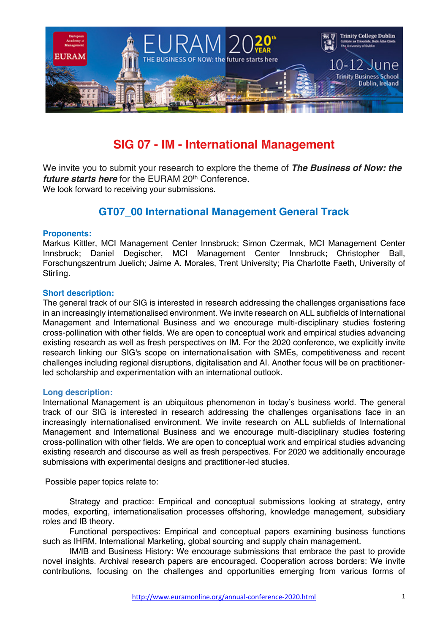

# **SIG 07 - IM - International Management**

We invite you to submit your research to explore the theme of *The Business of Now: the future starts here* for the EURAM 20<sup>th</sup> Conference. We look forward to receiving your submissions.

# **GT07\_00 International Management General Track**

### **Proponents:**

Markus Kittler, MCI Management Center Innsbruck; Simon Czermak, MCI Management Center Innsbruck; Daniel Degischer, MCI Management Center Innsbruck; Christopher Ball, Forschungszentrum Juelich; Jaime A. Morales, Trent University; Pia Charlotte Faeth, University of Stirling.

#### **Short description:**

The general track of our SIG is interested in research addressing the challenges organisations face in an increasingly internationalised environment. We invite research on ALL subfields of International Management and International Business and we encourage multi-disciplinary studies fostering cross-pollination with other fields. We are open to conceptual work and empirical studies advancing existing research as well as fresh perspectives on IM. For the 2020 conference, we explicitly invite research linking our SIG's scope on internationalisation with SMEs, competitiveness and recent challenges including regional disruptions, digitalisation and AI. Another focus will be on practitionerled scholarship and experimentation with an international outlook.

#### **Long description:**

International Management is an ubiquitous phenomenon in today's business world. The general track of our SIG is interested in research addressing the challenges organisations face in an increasingly internationalised environment. We invite research on ALL subfields of International Management and International Business and we encourage multi-disciplinary studies fostering cross-pollination with other fields. We are open to conceptual work and empirical studies advancing existing research and discourse as well as fresh perspectives. For 2020 we additionally encourage submissions with experimental designs and practitioner-led studies.

Possible paper topics relate to:

Strategy and practice: Empirical and conceptual submissions looking at strategy, entry modes, exporting, internationalisation processes offshoring, knowledge management, subsidiary roles and IB theory.

Functional perspectives: Empirical and conceptual papers examining business functions such as IHRM, International Marketing, global sourcing and supply chain management.

IM/IB and Business History: We encourage submissions that embrace the past to provide novel insights. Archival research papers are encouraged. Cooperation across borders: We invite contributions, focusing on the challenges and opportunities emerging from various forms of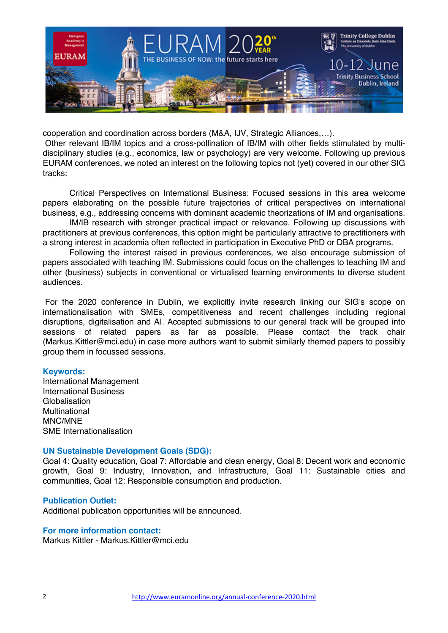

cooperation and coordination across borders (M&A, IJV, Strategic Alliances,…).

Other relevant IB/IM topics and a cross-pollination of IB/IM with other fields stimulated by multidisciplinary studies (e.g., economics, law or psychology) are very welcome. Following up previous EURAM conferences, we noted an interest on the following topics not (yet) covered in our other SIG tracks:

Critical Perspectives on International Business: Focused sessions in this area welcome papers elaborating on the possible future trajectories of critical perspectives on international business, e.g., addressing concerns with dominant academic theorizations of IM and organisations.

IM/IB research with stronger practical impact or relevance. Following up discussions with practitioners at previous conferences, this option might be particularly attractive to practitioners with a strong interest in academia often reflected in participation in Executive PhD or DBA programs.

Following the interest raised in previous conferences, we also encourage submission of papers associated with teaching IM. Submissions could focus on the challenges to teaching IM and other (business) subjects in conventional or virtualised learning environments to diverse student audiences.

For the 2020 conference in Dublin, we explicitly invite research linking our SIG's scope on internationalisation with SMEs, competitiveness and recent challenges including regional disruptions, digitalisation and AI. Accepted submissions to our general track will be grouped into sessions of related papers as far as possible. Please contact the track chair (Markus.Kittler@mci.edu) in case more authors want to submit similarly themed papers to possibly group them in focussed sessions.

#### **Keywords:**

International Management International Business Globalisation Multinational MNC/MNE SME Internationalisation

#### **UN Sustainable Development Goals (SDG):**

Goal 4: Quality education, Goal 7: Affordable and clean energy, Goal 8: Decent work and economic growth, Goal 9: Industry, Innovation, and Infrastructure, Goal 11: Sustainable cities and communities, Goal 12: Responsible consumption and production.

#### **Publication Outlet:**

Additional publication opportunities will be announced.

## **For more information contact:**

Markus Kittler - Markus Kittler@mci.edu